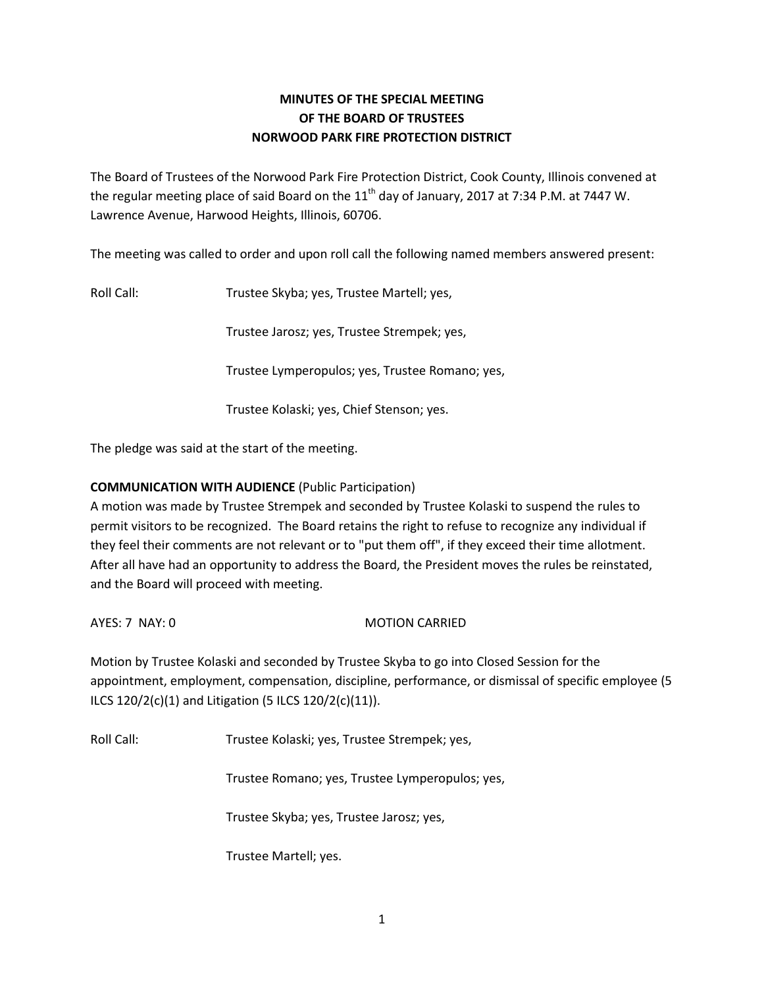## **MINUTES OF THE SPECIAL MEETING OF THE BOARD OF TRUSTEES NORWOOD PARK FIRE PROTECTION DISTRICT**

The Board of Trustees of the Norwood Park Fire Protection District, Cook County, Illinois convened at the regular meeting place of said Board on the  $11<sup>th</sup>$  day of January, 2017 at 7:34 P.M. at 7447 W. Lawrence Avenue, Harwood Heights, Illinois, 60706.

The meeting was called to order and upon roll call the following named members answered present:

Roll Call: Trustee Skyba; yes, Trustee Martell; yes,

Trustee Jarosz; yes, Trustee Strempek; yes,

Trustee Lymperopulos; yes, Trustee Romano; yes,

Trustee Kolaski; yes, Chief Stenson; yes.

The pledge was said at the start of the meeting.

## **COMMUNICATION WITH AUDIENCE** (Public Participation)

A motion was made by Trustee Strempek and seconded by Trustee Kolaski to suspend the rules to permit visitors to be recognized. The Board retains the right to refuse to recognize any individual if they feel their comments are not relevant or to "put them off", if they exceed their time allotment. After all have had an opportunity to address the Board, the President moves the rules be reinstated, and the Board will proceed with meeting.

AYES: 7 NAY: 0 MOTION CARRIED

Motion by Trustee Kolaski and seconded by Trustee Skyba to go into Closed Session for the appointment, employment, compensation, discipline, performance, or dismissal of specific employee (5 ILCS 120/2(c)(1) and Litigation (5 ILCS 120/2(c)(11)).

Roll Call: Trustee Kolaski; yes, Trustee Strempek; yes,

Trustee Romano; yes, Trustee Lymperopulos; yes,

Trustee Skyba; yes, Trustee Jarosz; yes,

Trustee Martell; yes.